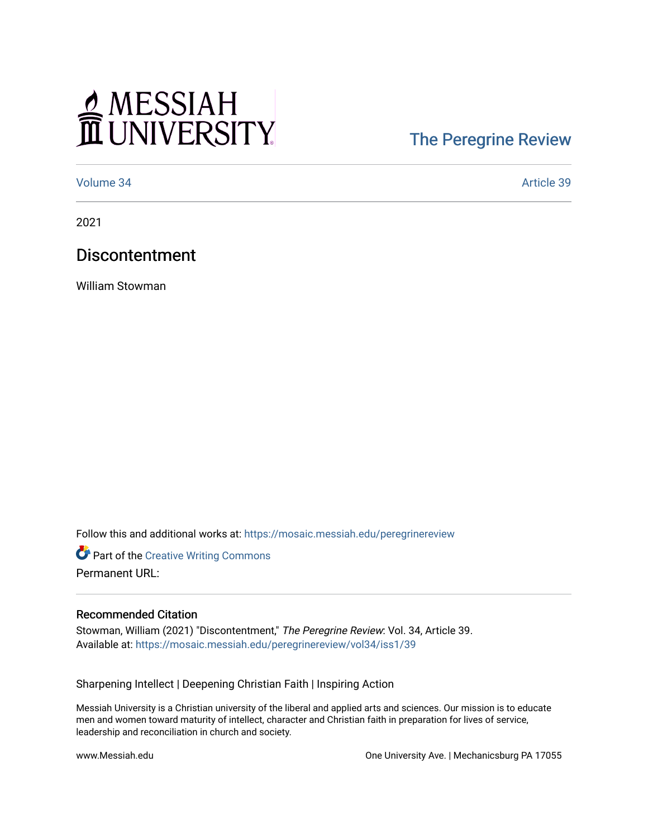# MESSIAH

## [The Peregrine Review](https://mosaic.messiah.edu/peregrinereview)

[Volume 34](https://mosaic.messiah.edu/peregrinereview/vol34) [Article 39](https://mosaic.messiah.edu/peregrinereview/vol34/iss1/39) 

2021

### **Discontentment**

William Stowman

Follow this and additional works at: [https://mosaic.messiah.edu/peregrinereview](https://mosaic.messiah.edu/peregrinereview?utm_source=mosaic.messiah.edu%2Fperegrinereview%2Fvol34%2Fiss1%2F39&utm_medium=PDF&utm_campaign=PDFCoverPages) 

**Part of the Creative Writing Commons** Permanent URL:

#### Recommended Citation

Stowman, William (2021) "Discontentment," The Peregrine Review: Vol. 34, Article 39. Available at: [https://mosaic.messiah.edu/peregrinereview/vol34/iss1/39](https://mosaic.messiah.edu/peregrinereview/vol34/iss1/39?utm_source=mosaic.messiah.edu%2Fperegrinereview%2Fvol34%2Fiss1%2F39&utm_medium=PDF&utm_campaign=PDFCoverPages)

Sharpening Intellect | Deepening Christian Faith | Inspiring Action

Messiah University is a Christian university of the liberal and applied arts and sciences. Our mission is to educate men and women toward maturity of intellect, character and Christian faith in preparation for lives of service, leadership and reconciliation in church and society.

www.Messiah.edu **One University Ave. | Mechanicsburg PA 17055**